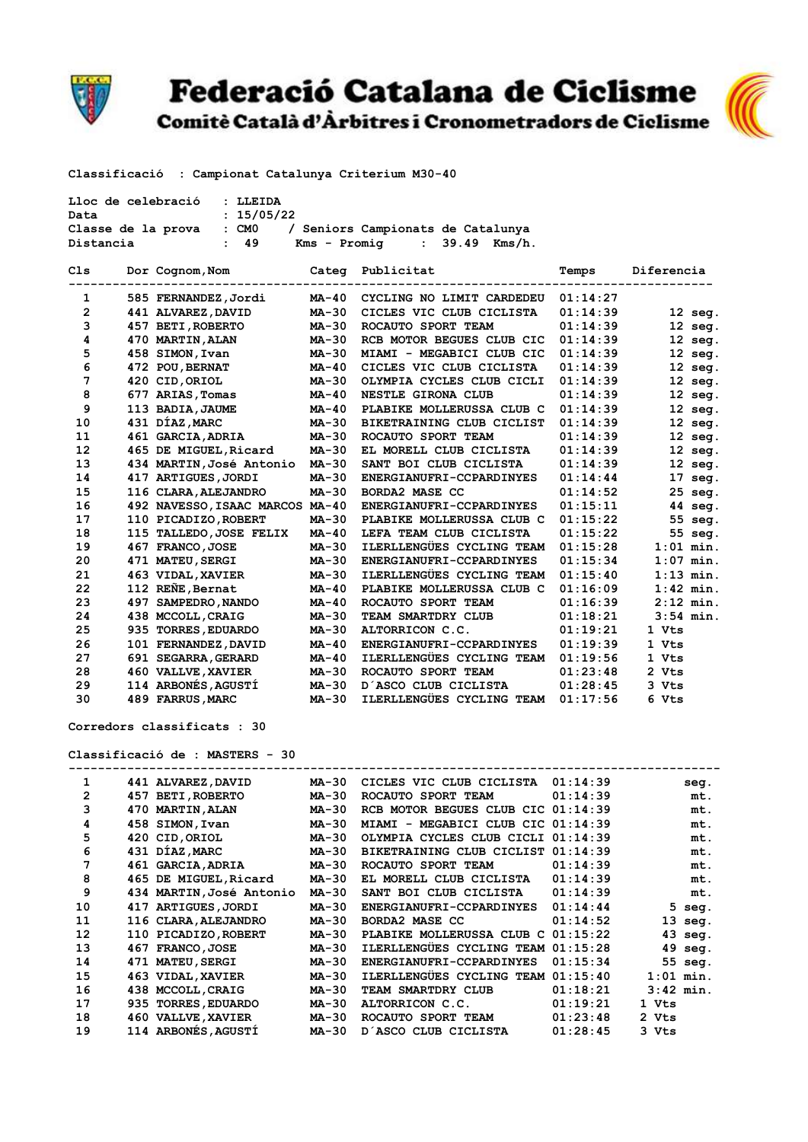

## **Federació Catalana de Ciclisme**

Comitè Català d'Àrbitres i Cronometradors de Ciclisme



**Classificació : Campionat Catalunya Criterium M30-40** 

| : LLEIDA<br>Lloc de celebració                                      |  |                                 |              |                                    |          |             |  |  |  |  |
|---------------------------------------------------------------------|--|---------------------------------|--------------|------------------------------------|----------|-------------|--|--|--|--|
| : 15/05/22<br>Data                                                  |  |                                 |              |                                    |          |             |  |  |  |  |
| Classe de la prova : CMO<br>/ Seniors Campionats de Catalunya       |  |                                 |              |                                    |          |             |  |  |  |  |
| 49<br>$Kms - Promiq$ : 39.49 $Kms/h$ .<br>Distancia<br>$\mathbf{r}$ |  |                                 |              |                                    |          |             |  |  |  |  |
| Cls                                                                 |  | Dor Cognom, Nom                 |              | Categ Publicitat                   | Temps    | Diferencia  |  |  |  |  |
| 1                                                                   |  | 585 FERNANDEZ,Jordi             | MA-40        | CYCLING NO LIMIT CARDEDEU          | 01:14:27 |             |  |  |  |  |
| $\overline{2}$                                                      |  | 441 ALVAREZ, DAVID              | <b>MA-30</b> | CICLES VIC CLUB CICLISTA           | 01:14:39 | $12$ seg.   |  |  |  |  |
| 3                                                                   |  | 457 BETI, ROBERTO               | <b>MA-30</b> | ROCAUTO SPORT TEAM                 | 01:14:39 | $12$ seg.   |  |  |  |  |
| 4                                                                   |  | 470 MARTIN, ALAN                | <b>MA-30</b> | RCB MOTOR BEGUES CLUB CIC          | 01:14:39 | $12$ seg.   |  |  |  |  |
| 5                                                                   |  | 458 SIMON, Ivan                 | <b>MA-30</b> | MIAMI - MEGABICI CLUB CIC          | 01:14:39 | $12$ seg.   |  |  |  |  |
| 6                                                                   |  | 472 POU, BERNAT                 | MA-40        | CICLES VIC CLUB CICLISTA           | 01:14:39 | $12$ seg.   |  |  |  |  |
| 7                                                                   |  | 420 CID, ORIOL                  | <b>MA-30</b> | OLYMPIA CYCLES CLUB CICLI          | 01:14:39 | $12$ seg.   |  |  |  |  |
| 8                                                                   |  | 677 ARIAS, Tomas                | <b>MA-40</b> | NESTLE GIRONA CLUB                 | 01:14:39 | $12$ seg.   |  |  |  |  |
| 9                                                                   |  | 113 BADIA, JAUME                | $MA-40$      | PLABIKE MOLLERUSSA CLUB C          | 01:14:39 | $12$ seg.   |  |  |  |  |
| 10                                                                  |  | 431 DÍAZ, MARC                  | <b>MA-30</b> | BIKETRAINING CLUB CICLIST          | 01:14:39 | $12$ seg.   |  |  |  |  |
| 11                                                                  |  | 461 GARCIA, ADRIA               | $MA-30$      | ROCAUTO SPORT TEAM                 | 01:14:39 | $12$ seg.   |  |  |  |  |
| 12                                                                  |  | 465 DE MIGUEL, Ricard           | <b>MA-30</b> | EL MORELL CLUB CICLISTA            | 01:14:39 | $12$ seg.   |  |  |  |  |
| 13                                                                  |  | 434 MARTIN, José Antonio        | <b>MA-30</b> | SANT BOI CLUB CICLISTA             | 01:14:39 | $12$ seg.   |  |  |  |  |
| 14                                                                  |  | 417 ARTIGUES, JORDI             | $MA-30$      | ENERGIANUFRI-CCPARDINYES           | 01:14:44 | $17$ seg.   |  |  |  |  |
| 15                                                                  |  | 116 CLARA, ALEJANDRO            | $MA-30$      | <b>BORDA2 MASE CC</b>              | 01:14:52 | 25 seg.     |  |  |  |  |
| 16                                                                  |  | 492 NAVESSO, ISAAC MARCOS MA-40 |              | ENERGIANUFRI-CCPARDINYES           | 01:15:11 | 44 seg.     |  |  |  |  |
| 17                                                                  |  | 110 PICADIZO, ROBERT            | <b>MA-30</b> | PLABIKE MOLLERUSSA CLUB C          | 01:15:22 | 55 seg.     |  |  |  |  |
| 18                                                                  |  | 115 TALLEDO, JOSE FELIX         | $MA-40$      | LEFA TEAM CLUB CICLISTA            | 01:15:22 | 55 seg.     |  |  |  |  |
| 19                                                                  |  | 467 FRANCO, JOSE                | $MA-30$      | ILERLLENGÜES CYCLING TEAM          | 01:15:28 | $1:01$ min. |  |  |  |  |
| 20                                                                  |  | 471 MATEU, SERGI                | <b>MA-30</b> | ENERGIANUFRI-CCPARDINYES           | 01:15:34 | $1:07$ min. |  |  |  |  |
| 21                                                                  |  | 463 VIDAL, XAVIER               | <b>MA-30</b> | ILERLLENGÜES CYCLING TEAM          | 01:15:40 | $1:13$ min. |  |  |  |  |
| 22                                                                  |  | 112 REÑE, Bernat                | $MA-40$      | PLABIKE MOLLERUSSA CLUB C          | 01:16:09 | $1:42$ min. |  |  |  |  |
| 23                                                                  |  | 497 SAMPEDRO, NANDO             | $MA-40$      | ROCAUTO SPORT TEAM                 | 01:16:39 | $2:12$ min. |  |  |  |  |
| 24                                                                  |  | 438 MCCOLL, CRAIG               | <b>MA-30</b> | TEAM SMARTDRY CLUB                 | 01:18:21 | $3:54$ min. |  |  |  |  |
| 25                                                                  |  | 935 TORRES, EDUARDO             | <b>MA-30</b> | ALTORRICON C.C.                    | 01:19:21 | 1 Vts       |  |  |  |  |
| 26                                                                  |  | 101 FERNANDEZ, DAVID            | <b>MA-40</b> | ENERGIANUFRI-CCPARDINYES           | 01:19:39 | 1 Vts       |  |  |  |  |
| 27                                                                  |  | 691 SEGARRA, GERARD             | <b>MA-40</b> | ILERLLENGÜES CYCLING TEAM 01:19:56 |          | 1 Vts       |  |  |  |  |
| 28                                                                  |  | 460 VALLVE, XAVIER              | <b>MA-30</b> | ROCAUTO SPORT TEAM                 | 01:23:48 | 2 Vts       |  |  |  |  |
| 29                                                                  |  | 114 ARBONÉS, AGUSTÍ             | $MA-30$      | D'ASCO CLUB CICLISTA               | 01:28:45 | 3 Vts       |  |  |  |  |

 **30 489 FARRUS,MARC MA-30 ILERLLENGÜES CYCLING TEAM 01:17:56 6 Vts** 

**Corredors classificats : 30**

**Classificació de : MASTERS - 30**

| 01:14:39<br>441 ALVAREZ, DAVID<br>MA-30<br>CICLES VIC CLUB CICLISTA<br>2<br>01:14:39<br><b>BETI, ROBERTO</b><br>457<br>MA-30<br>ROCAUTO SPORT TEAM<br>3<br>RCB MOTOR BEGUES CLUB CIC 01:14:39<br><b>MARTIN, ALAN</b><br>470<br><b>MA-30</b><br>4<br>458 SIMON, Ivan<br><b>MA-30</b><br>MEGABICI CLUB CIC 01:14:39<br>MIAMI -<br>5<br>CID, ORIOL<br><b>MA-30</b><br>OLYMPIA CYCLES CLUB CICLI 01:14:39<br>420<br>431 DÍAZ, MARC<br>6<br><b>MA-30</b><br>BIKETRAINING CLUB CICLIST<br>01:14:39<br>7<br>01:14:39<br>461 GARCIA, ADRIA<br><b>MA-30</b><br>ROCAUTO SPORT TEAM<br>8<br>01:14:39<br>465 DE MIGUEL, Ricard<br><b>MA-30</b><br>EL MORELL CLUB CICLISTA<br>9<br>01:14:39<br>434 MARTIN, José Antonio<br>MA-30<br>SANT BOI CLUB CICLISTA<br>10<br>417 ARTIGUES, JORDI<br>01:14:44<br><b>MA-30</b><br>ENERGIANUFRI-CCPARDINYES<br>11<br>BORDA2 MASE CC<br>01:14:52<br>116 CLARA, ALEJANDRO<br><b>MA-30</b><br>12<br>01:15:22<br>110 PICADIZO, ROBERT<br><b>MA-30</b><br>PLABIKE MOLLERUSSA CLUB C<br>ILERLLENGÜES CYCLING TEAM 01:15:28<br>13<br><b>FRANCO, JOSE</b><br>MA-30<br>467<br>14<br><b>MATEU, SERGI</b><br>01:15:34<br>471<br><b>MA-30</b><br>ENERGIANUFRI-CCPARDINYES<br><b>ILERLLENGÜES CYCLING TEAM</b><br>15<br>01:15:40<br>463 VIDAL, XAVIER<br><b>MA-30</b><br>16<br>01:18:21<br>438<br><b>MCCOLL, CRAIG</b><br><b>MA-30</b><br>TEAM SMARTDRY CLUB<br>17<br>01:19:21<br><b>TORRES, EDUARDO</b><br><b>MA-30</b><br>ALTORRICON C.C.<br>935<br>01:23:48<br>18<br>460 VALLVE, XAVIER<br><b>MA-30</b><br>ROCAUTO SPORT TEAM |             |
|--------------------------------------------------------------------------------------------------------------------------------------------------------------------------------------------------------------------------------------------------------------------------------------------------------------------------------------------------------------------------------------------------------------------------------------------------------------------------------------------------------------------------------------------------------------------------------------------------------------------------------------------------------------------------------------------------------------------------------------------------------------------------------------------------------------------------------------------------------------------------------------------------------------------------------------------------------------------------------------------------------------------------------------------------------------------------------------------------------------------------------------------------------------------------------------------------------------------------------------------------------------------------------------------------------------------------------------------------------------------------------------------------------------------------------------------------------------------------------------------------------------------------------------------|-------------|
|                                                                                                                                                                                                                                                                                                                                                                                                                                                                                                                                                                                                                                                                                                                                                                                                                                                                                                                                                                                                                                                                                                                                                                                                                                                                                                                                                                                                                                                                                                                                            | seq.        |
|                                                                                                                                                                                                                                                                                                                                                                                                                                                                                                                                                                                                                                                                                                                                                                                                                                                                                                                                                                                                                                                                                                                                                                                                                                                                                                                                                                                                                                                                                                                                            | mt.         |
|                                                                                                                                                                                                                                                                                                                                                                                                                                                                                                                                                                                                                                                                                                                                                                                                                                                                                                                                                                                                                                                                                                                                                                                                                                                                                                                                                                                                                                                                                                                                            | mt.         |
|                                                                                                                                                                                                                                                                                                                                                                                                                                                                                                                                                                                                                                                                                                                                                                                                                                                                                                                                                                                                                                                                                                                                                                                                                                                                                                                                                                                                                                                                                                                                            | mt.         |
|                                                                                                                                                                                                                                                                                                                                                                                                                                                                                                                                                                                                                                                                                                                                                                                                                                                                                                                                                                                                                                                                                                                                                                                                                                                                                                                                                                                                                                                                                                                                            | mt.         |
|                                                                                                                                                                                                                                                                                                                                                                                                                                                                                                                                                                                                                                                                                                                                                                                                                                                                                                                                                                                                                                                                                                                                                                                                                                                                                                                                                                                                                                                                                                                                            | mt.         |
|                                                                                                                                                                                                                                                                                                                                                                                                                                                                                                                                                                                                                                                                                                                                                                                                                                                                                                                                                                                                                                                                                                                                                                                                                                                                                                                                                                                                                                                                                                                                            | mt.         |
|                                                                                                                                                                                                                                                                                                                                                                                                                                                                                                                                                                                                                                                                                                                                                                                                                                                                                                                                                                                                                                                                                                                                                                                                                                                                                                                                                                                                                                                                                                                                            | mt.         |
|                                                                                                                                                                                                                                                                                                                                                                                                                                                                                                                                                                                                                                                                                                                                                                                                                                                                                                                                                                                                                                                                                                                                                                                                                                                                                                                                                                                                                                                                                                                                            | mt.         |
|                                                                                                                                                                                                                                                                                                                                                                                                                                                                                                                                                                                                                                                                                                                                                                                                                                                                                                                                                                                                                                                                                                                                                                                                                                                                                                                                                                                                                                                                                                                                            | 5<br>seq.   |
|                                                                                                                                                                                                                                                                                                                                                                                                                                                                                                                                                                                                                                                                                                                                                                                                                                                                                                                                                                                                                                                                                                                                                                                                                                                                                                                                                                                                                                                                                                                                            | 13<br>seg.  |
|                                                                                                                                                                                                                                                                                                                                                                                                                                                                                                                                                                                                                                                                                                                                                                                                                                                                                                                                                                                                                                                                                                                                                                                                                                                                                                                                                                                                                                                                                                                                            | 43<br>seq.  |
|                                                                                                                                                                                                                                                                                                                                                                                                                                                                                                                                                                                                                                                                                                                                                                                                                                                                                                                                                                                                                                                                                                                                                                                                                                                                                                                                                                                                                                                                                                                                            | 49<br>seq.  |
|                                                                                                                                                                                                                                                                                                                                                                                                                                                                                                                                                                                                                                                                                                                                                                                                                                                                                                                                                                                                                                                                                                                                                                                                                                                                                                                                                                                                                                                                                                                                            | 55 seg.     |
|                                                                                                                                                                                                                                                                                                                                                                                                                                                                                                                                                                                                                                                                                                                                                                                                                                                                                                                                                                                                                                                                                                                                                                                                                                                                                                                                                                                                                                                                                                                                            | $1:01$ min. |
|                                                                                                                                                                                                                                                                                                                                                                                                                                                                                                                                                                                                                                                                                                                                                                                                                                                                                                                                                                                                                                                                                                                                                                                                                                                                                                                                                                                                                                                                                                                                            | $3:42$ min. |
|                                                                                                                                                                                                                                                                                                                                                                                                                                                                                                                                                                                                                                                                                                                                                                                                                                                                                                                                                                                                                                                                                                                                                                                                                                                                                                                                                                                                                                                                                                                                            | 1 Vts       |
|                                                                                                                                                                                                                                                                                                                                                                                                                                                                                                                                                                                                                                                                                                                                                                                                                                                                                                                                                                                                                                                                                                                                                                                                                                                                                                                                                                                                                                                                                                                                            | 2 Vts       |
| 114 ARBONES, AGUSTI<br>19<br>01:28:45<br><b>MA-30</b><br>D'ASCO CLUB CICLISTA                                                                                                                                                                                                                                                                                                                                                                                                                                                                                                                                                                                                                                                                                                                                                                                                                                                                                                                                                                                                                                                                                                                                                                                                                                                                                                                                                                                                                                                              | 3 Vts       |